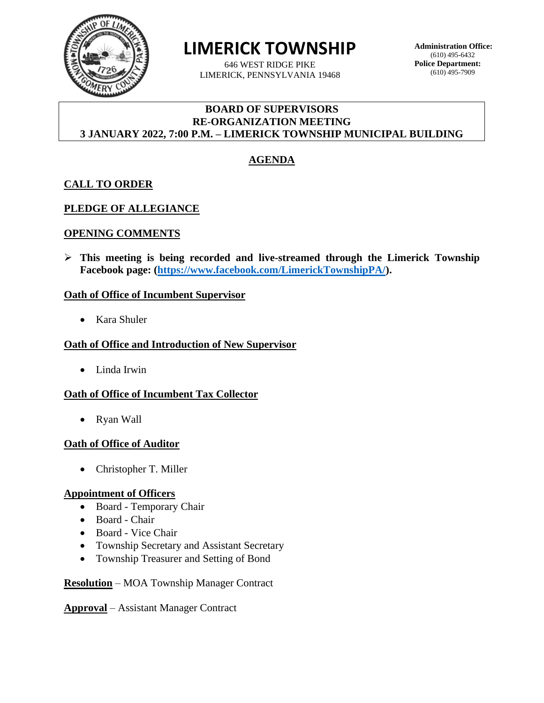

**LIMERICK TOWNSHIP**

646 WEST RIDGE PIKE LIMERICK, PENNSYLVANIA 19468 **Administration Office:** (610) 495-6432 **Police Department:** (610) 495-7909

### **BOARD OF SUPERVISORS RE-ORGANIZATION MEETING 3 JANUARY 2022, 7:00 P.M. – LIMERICK TOWNSHIP MUNICIPAL BUILDING**

# **AGENDA**

## **CALL TO ORDER**

### **PLEDGE OF ALLEGIANCE**

#### **OPENING COMMENTS**

➢ **This meeting is being recorded and live-streamed through the Limerick Township Facebook page: [\(https://www.facebook.com/LimerickTownshipPA/\)](https://www.facebook.com/LimerickTownshipPA/).** 

#### **Oath of Office of Incumbent Supervisor**

• Kara Shuler

#### **Oath of Office and Introduction of New Supervisor**

• Linda Irwin

### **Oath of Office of Incumbent Tax Collector**

• Ryan Wall

#### **Oath of Office of Auditor**

• Christopher T. Miller

#### **Appointment of Officers**

- Board Temporary Chair
- Board Chair
- Board Vice Chair
- Township Secretary and Assistant Secretary
- Township Treasurer and Setting of Bond

**Resolution** – MOA Township Manager Contract

**Approval** – Assistant Manager Contract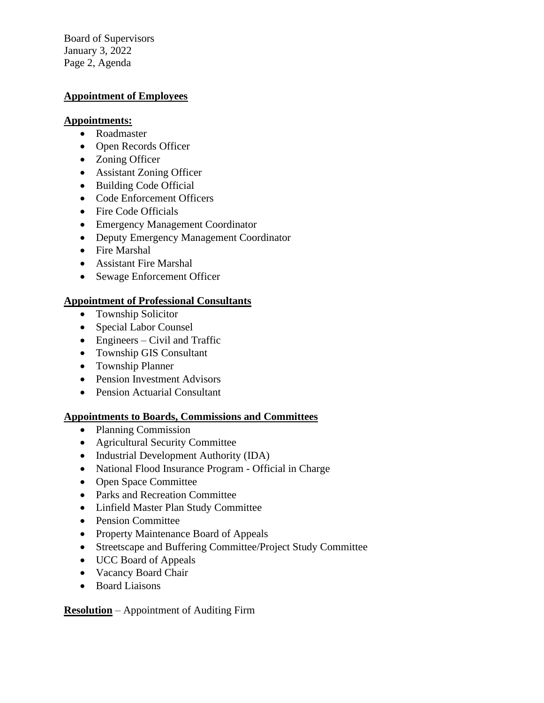Board of Supervisors January 3, 2022 Page 2, Agenda

### **Appointment of Employees**

#### **Appointments:**

- Roadmaster
- Open Records Officer
- Zoning Officer
- Assistant Zoning Officer
- Building Code Official
- Code Enforcement Officers
- Fire Code Officials
- Emergency Management Coordinator
- Deputy Emergency Management Coordinator
- Fire Marshal
- Assistant Fire Marshal
- Sewage Enforcement Officer

### **Appointment of Professional Consultants**

- Township Solicitor
- Special Labor Counsel
- Engineers Civil and Traffic
- Township GIS Consultant
- Township Planner
- Pension Investment Advisors
- Pension Actuarial Consultant

### **Appointments to Boards, Commissions and Committees**

- Planning Commission
- Agricultural Security Committee
- Industrial Development Authority (IDA)
- National Flood Insurance Program Official in Charge
- Open Space Committee
- Parks and Recreation Committee
- Linfield Master Plan Study Committee
- Pension Committee
- Property Maintenance Board of Appeals
- Streetscape and Buffering Committee/Project Study Committee
- UCC Board of Appeals
- Vacancy Board Chair
- Board Liaisons

**Resolution** – Appointment of Auditing Firm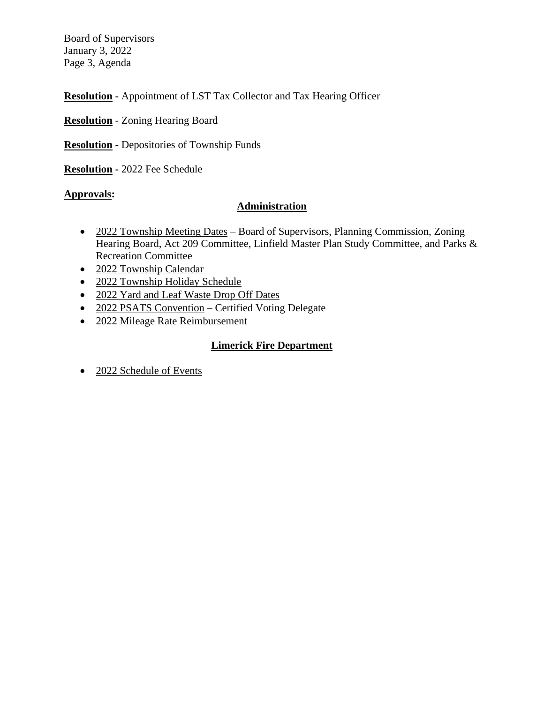Board of Supervisors January 3, 2022 Page 3, Agenda

**Resolution -** Appointment of LST Tax Collector and Tax Hearing Officer

- **Resolution** Zoning Hearing Board
- **Resolution -** Depositories of Township Funds
- **Resolution -** 2022 Fee Schedule

### **Approvals:**

### **Administration**

- 2022 Township Meeting Dates Board of Supervisors, Planning Commission, Zoning Hearing Board, Act 209 Committee, Linfield Master Plan Study Committee, and Parks & Recreation Committee
- 2022 Township Calendar
- 2022 Township Holiday Schedule
- 2022 Yard and Leaf Waste Drop Off Dates
- 2022 PSATS Convention Certified Voting Delegate
- 2022 Mileage Rate Reimbursement

### **Limerick Fire Department**

• 2022 Schedule of Events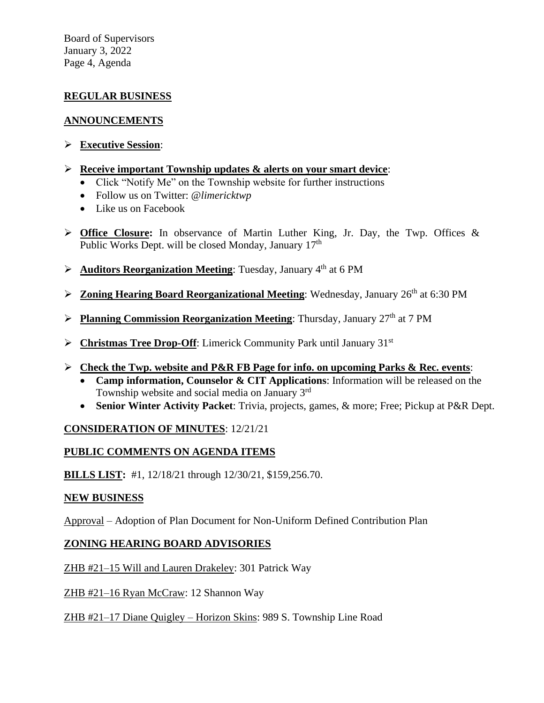Board of Supervisors January 3, 2022 Page 4, Agenda

## **REGULAR BUSINESS**

### **ANNOUNCEMENTS**

- ➢ **Executive Session**:
- ➢ **Receive important Township updates & alerts on your smart device**:
	- Click "Notify Me" on the Township website for further instructions
	- Follow us on Twitter: @*limericktwp*
	- Like us on Facebook
- ➢ **Office Closure:** In observance of Martin Luther King, Jr. Day, the Twp. Offices & Public Works Dept. will be closed Monday, January 17<sup>th</sup>
- **►** Auditors Reorganization Meeting: Tuesday, January 4<sup>th</sup> at 6 PM
- **Example 26th at 6:30 PM Zoning Hearing Board Reorganizational Meeting**: Wednesday, January 26<sup>th</sup> at 6:30 PM
- ▶ Planning Commission Reorganization Meeting: Thursday, January 27<sup>th</sup> at 7 PM
- ➢ **Christmas Tree Drop-Off**: Limerick Community Park until January 31st
- ➢ **Check the Twp. website and P&R FB Page for info. on upcoming Parks & Rec. events**:
	- **Camp information, Counselor & CIT Applications**: Information will be released on the Township website and social media on January  $3<sup>rd</sup>$
	- **Senior Winter Activity Packet**: Trivia, projects, games, & more; Free; Pickup at P&R Dept.

## **CONSIDERATION OF MINUTES**: 12/21/21

## **PUBLIC COMMENTS ON AGENDA ITEMS**

**BILLS LIST:** #1, 12/18/21 through 12/30/21, \$159,256.70.

### **NEW BUSINESS**

Approval – Adoption of Plan Document for Non-Uniform Defined Contribution Plan

## **ZONING HEARING BOARD ADVISORIES**

ZHB #21–15 Will and Lauren Drakeley: 301 Patrick Way

ZHB #21–16 Ryan McCraw: 12 Shannon Way

ZHB #21–17 Diane Quigley – Horizon Skins: 989 S. Township Line Road